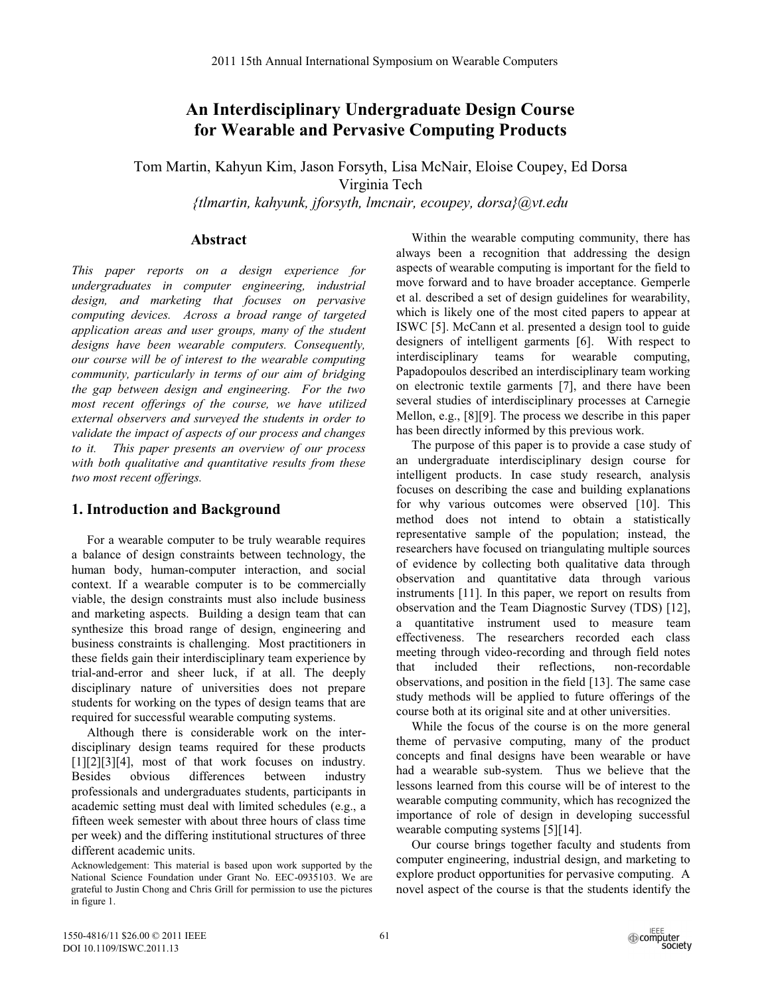# **An Interdisciplinary Undergraduate Design Course for Wearable and Pervasive Computing Products**

Tom Martin, Kahyun Kim, Jason Forsyth, Lisa McNair, Eloise Coupey, Ed Dorsa Virginia Tech

*{tlmartin, kahyunk, jforsyth, lmcnair, ecoupey, dorsa}@vt.edu* 

## **Abstract**

*This paper reports on a design experience for undergraduates in computer engineering, industrial design, and marketing that focuses on pervasive computing devices. Across a broad range of targeted application areas and user groups, many of the student designs have been wearable computers. Consequently, our course will be of interest to the wearable computing community, particularly in terms of our aim of bridging the gap between design and engineering. For the two most recent offerings of the course, we have utilized external observers and surveyed the students in order to validate the impact of aspects of our process and changes to it. This paper presents an overview of our process with both qualitative and quantitative results from these two most recent offerings.* 

### **1. Introduction and Background**

For a wearable computer to be truly wearable requires a balance of design constraints between technology, the human body, human-computer interaction, and social context. If a wearable computer is to be commercially viable, the design constraints must also include business and marketing aspects. Building a design team that can synthesize this broad range of design, engineering and business constraints is challenging. Most practitioners in these fields gain their interdisciplinary team experience by trial-and-error and sheer luck, if at all. The deeply disciplinary nature of universities does not prepare students for working on the types of design teams that are required for successful wearable computing systems.

Although there is considerable work on the interdisciplinary design teams required for these products [1][2][3][4], most of that work focuses on industry. Besides obvious differences between industry professionals and undergraduates students, participants in academic setting must deal with limited schedules (e.g., a fifteen week semester with about three hours of class time per week) and the differing institutional structures of three different academic units.

Within the wearable computing community, there has always been a recognition that addressing the design aspects of wearable computing is important for the field to move forward and to have broader acceptance. Gemperle et al. described a set of design guidelines for wearability, which is likely one of the most cited papers to appear at ISWC [5]. McCann et al. presented a design tool to guide designers of intelligent garments [6]. With respect to interdisciplinary teams for wearable computing, Papadopoulos described an interdisciplinary team working on electronic textile garments [7], and there have been several studies of interdisciplinary processes at Carnegie Mellon, e.g., [8][9]. The process we describe in this paper has been directly informed by this previous work.

The purpose of this paper is to provide a case study of an undergraduate interdisciplinary design course for intelligent products. In case study research, analysis focuses on describing the case and building explanations for why various outcomes were observed [10]. This method does not intend to obtain a statistically representative sample of the population; instead, the researchers have focused on triangulating multiple sources of evidence by collecting both qualitative data through observation and quantitative data through various instruments [11]. In this paper, we report on results from observation and the Team Diagnostic Survey (TDS) [12], a quantitative instrument used to measure team effectiveness. The researchers recorded each class meeting through video-recording and through field notes that included their reflections, non-recordable observations, and position in the field [13]. The same case study methods will be applied to future offerings of the course both at its original site and at other universities.

While the focus of the course is on the more general theme of pervasive computing, many of the product concepts and final designs have been wearable or have had a wearable sub-system. Thus we believe that the lessons learned from this course will be of interest to the wearable computing community, which has recognized the importance of role of design in developing successful wearable computing systems [5][14].

Our course brings together faculty and students from computer engineering, industrial design, and marketing to explore product opportunities for pervasive computing. A novel aspect of the course is that the students identify the

Acknowledgement: This material is based upon work supported by the National Science Foundation under Grant No. EEC-0935103. We are grateful to Justin Chong and Chris Grill for permission to use the pictures in figure 1.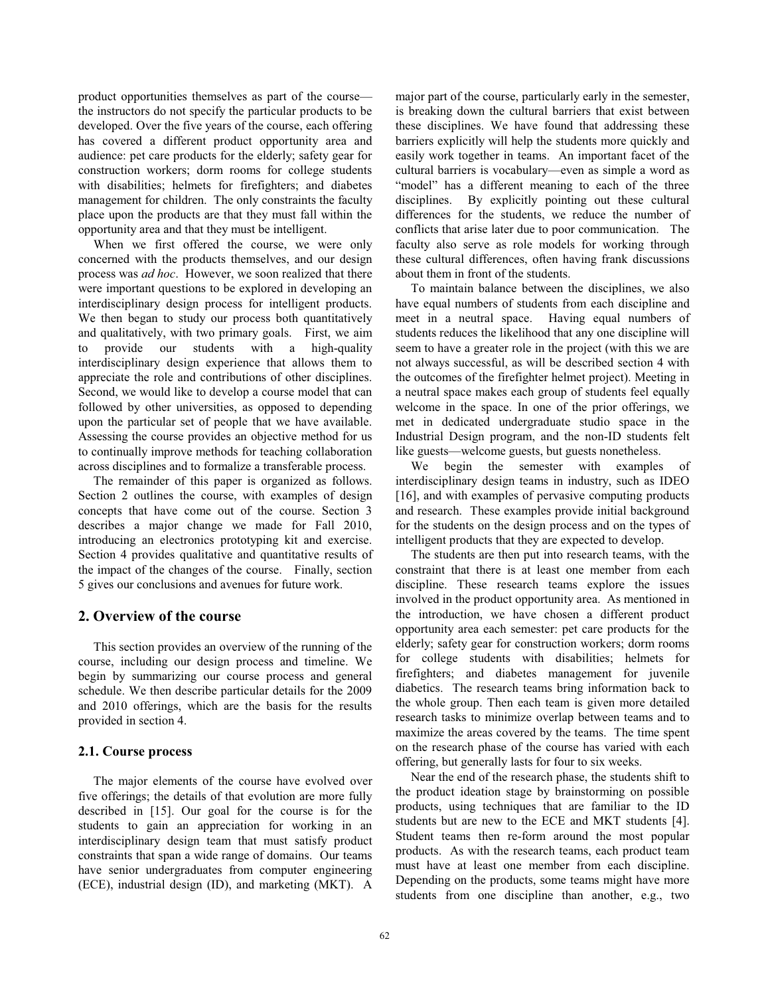product opportunities themselves as part of the course the instructors do not specify the particular products to be developed. Over the five years of the course, each offering has covered a different product opportunity area and audience: pet care products for the elderly; safety gear for construction workers; dorm rooms for college students with disabilities; helmets for firefighters; and diabetes management for children. The only constraints the faculty place upon the products are that they must fall within the opportunity area and that they must be intelligent.

When we first offered the course, we were only concerned with the products themselves, and our design process was *ad hoc*. However, we soon realized that there were important questions to be explored in developing an interdisciplinary design process for intelligent products. We then began to study our process both quantitatively and qualitatively, with two primary goals. First, we aim to provide our students with a high-quality interdisciplinary design experience that allows them to appreciate the role and contributions of other disciplines. Second, we would like to develop a course model that can followed by other universities, as opposed to depending upon the particular set of people that we have available. Assessing the course provides an objective method for us to continually improve methods for teaching collaboration across disciplines and to formalize a transferable process.

The remainder of this paper is organized as follows. Section 2 outlines the course, with examples of design concepts that have come out of the course. Section 3 describes a major change we made for Fall 2010, introducing an electronics prototyping kit and exercise. Section 4 provides qualitative and quantitative results of the impact of the changes of the course. Finally, section 5 gives our conclusions and avenues for future work.

# **2. Overview of the course**

This section provides an overview of the running of the course, including our design process and timeline. We begin by summarizing our course process and general schedule. We then describe particular details for the 2009 and 2010 offerings, which are the basis for the results provided in section 4.

#### **2.1. Course process**

The major elements of the course have evolved over five offerings; the details of that evolution are more fully described in [15]. Our goal for the course is for the students to gain an appreciation for working in an interdisciplinary design team that must satisfy product constraints that span a wide range of domains. Our teams have senior undergraduates from computer engineering (ECE), industrial design (ID), and marketing (MKT). A major part of the course, particularly early in the semester, is breaking down the cultural barriers that exist between these disciplines. We have found that addressing these barriers explicitly will help the students more quickly and easily work together in teams. An important facet of the cultural barriers is vocabulary—even as simple a word as "model" has a different meaning to each of the three disciplines. By explicitly pointing out these cultural differences for the students, we reduce the number of conflicts that arise later due to poor communication. The faculty also serve as role models for working through these cultural differences, often having frank discussions about them in front of the students.

To maintain balance between the disciplines, we also have equal numbers of students from each discipline and meet in a neutral space. Having equal numbers of students reduces the likelihood that any one discipline will seem to have a greater role in the project (with this we are not always successful, as will be described section 4 with the outcomes of the firefighter helmet project). Meeting in a neutral space makes each group of students feel equally welcome in the space. In one of the prior offerings, we met in dedicated undergraduate studio space in the Industrial Design program, and the non-ID students felt like guests—welcome guests, but guests nonetheless.

We begin the semester with examples of interdisciplinary design teams in industry, such as IDEO [16], and with examples of pervasive computing products and research. These examples provide initial background for the students on the design process and on the types of intelligent products that they are expected to develop.

The students are then put into research teams, with the constraint that there is at least one member from each discipline. These research teams explore the issues involved in the product opportunity area. As mentioned in the introduction, we have chosen a different product opportunity area each semester: pet care products for the elderly; safety gear for construction workers; dorm rooms for college students with disabilities; helmets for firefighters; and diabetes management for juvenile diabetics. The research teams bring information back to the whole group. Then each team is given more detailed research tasks to minimize overlap between teams and to maximize the areas covered by the teams. The time spent on the research phase of the course has varied with each offering, but generally lasts for four to six weeks.

Near the end of the research phase, the students shift to the product ideation stage by brainstorming on possible products, using techniques that are familiar to the ID students but are new to the ECE and MKT students [4]. Student teams then re-form around the most popular products. As with the research teams, each product team must have at least one member from each discipline. Depending on the products, some teams might have more students from one discipline than another, e.g., two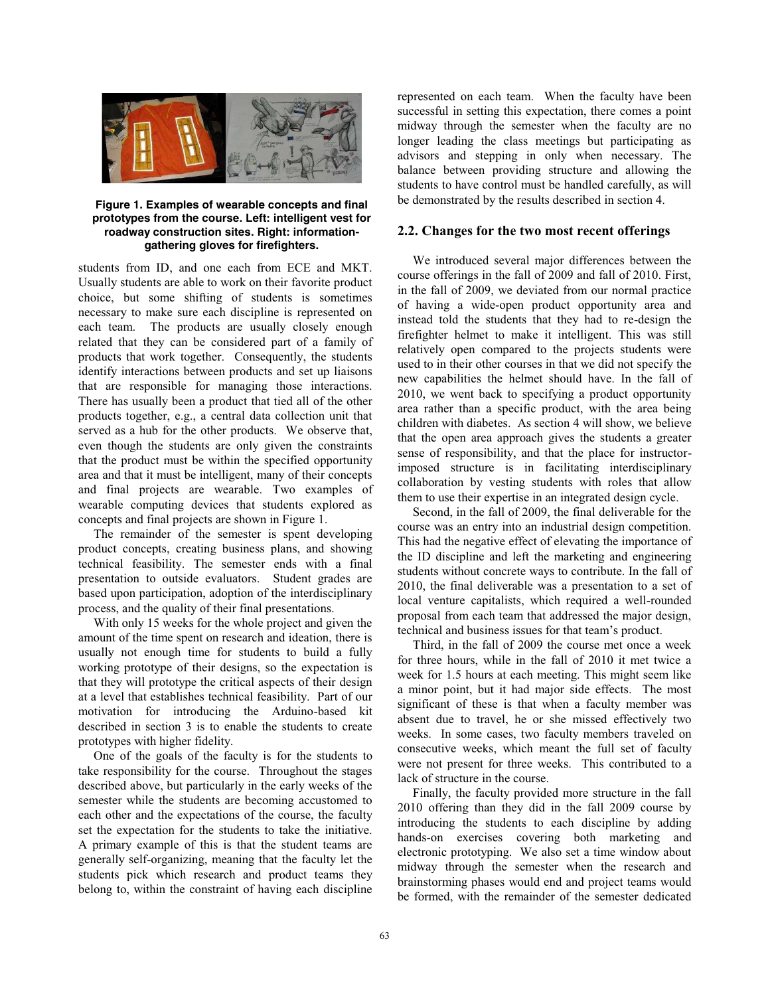

**Figure 1. Examples of wearable concepts and final prototypes from the course. Left: intelligent vest for roadway construction sites. Right: informationgathering gloves for firefighters.** 

students from ID, and one each from ECE and MKT. Usually students are able to work on their favorite product choice, but some shifting of students is sometimes necessary to make sure each discipline is represented on each team. The products are usually closely enough related that they can be considered part of a family of products that work together. Consequently, the students identify interactions between products and set up liaisons that are responsible for managing those interactions. There has usually been a product that tied all of the other products together, e.g., a central data collection unit that served as a hub for the other products. We observe that, even though the students are only given the constraints that the product must be within the specified opportunity area and that it must be intelligent, many of their concepts and final projects are wearable. Two examples of wearable computing devices that students explored as concepts and final projects are shown in Figure 1.

The remainder of the semester is spent developing product concepts, creating business plans, and showing technical feasibility. The semester ends with a final presentation to outside evaluators. Student grades are based upon participation, adoption of the interdisciplinary process, and the quality of their final presentations.

With only 15 weeks for the whole project and given the amount of the time spent on research and ideation, there is usually not enough time for students to build a fully working prototype of their designs, so the expectation is that they will prototype the critical aspects of their design at a level that establishes technical feasibility. Part of our motivation for introducing the Arduino-based kit described in section 3 is to enable the students to create prototypes with higher fidelity.

One of the goals of the faculty is for the students to take responsibility for the course. Throughout the stages described above, but particularly in the early weeks of the semester while the students are becoming accustomed to each other and the expectations of the course, the faculty set the expectation for the students to take the initiative. A primary example of this is that the student teams are generally self-organizing, meaning that the faculty let the students pick which research and product teams they belong to, within the constraint of having each discipline represented on each team. When the faculty have been successful in setting this expectation, there comes a point midway through the semester when the faculty are no longer leading the class meetings but participating as advisors and stepping in only when necessary. The balance between providing structure and allowing the students to have control must be handled carefully, as will be demonstrated by the results described in section 4.

#### **2.2. Changes for the two most recent offerings**

We introduced several major differences between the course offerings in the fall of 2009 and fall of 2010. First, in the fall of 2009, we deviated from our normal practice of having a wide-open product opportunity area and instead told the students that they had to re-design the firefighter helmet to make it intelligent. This was still relatively open compared to the projects students were used to in their other courses in that we did not specify the new capabilities the helmet should have. In the fall of 2010, we went back to specifying a product opportunity area rather than a specific product, with the area being children with diabetes. As section 4 will show, we believe that the open area approach gives the students a greater sense of responsibility, and that the place for instructorimposed structure is in facilitating interdisciplinary collaboration by vesting students with roles that allow them to use their expertise in an integrated design cycle.

Second, in the fall of 2009, the final deliverable for the course was an entry into an industrial design competition. This had the negative effect of elevating the importance of the ID discipline and left the marketing and engineering students without concrete ways to contribute. In the fall of 2010, the final deliverable was a presentation to a set of local venture capitalists, which required a well-rounded proposal from each team that addressed the major design, technical and business issues for that team's product.

Third, in the fall of 2009 the course met once a week for three hours, while in the fall of 2010 it met twice a week for 1.5 hours at each meeting. This might seem like a minor point, but it had major side effects. The most significant of these is that when a faculty member was absent due to travel, he or she missed effectively two weeks. In some cases, two faculty members traveled on consecutive weeks, which meant the full set of faculty were not present for three weeks. This contributed to a lack of structure in the course.

Finally, the faculty provided more structure in the fall 2010 offering than they did in the fall 2009 course by introducing the students to each discipline by adding hands-on exercises covering both marketing and electronic prototyping. We also set a time window about midway through the semester when the research and brainstorming phases would end and project teams would be formed, with the remainder of the semester dedicated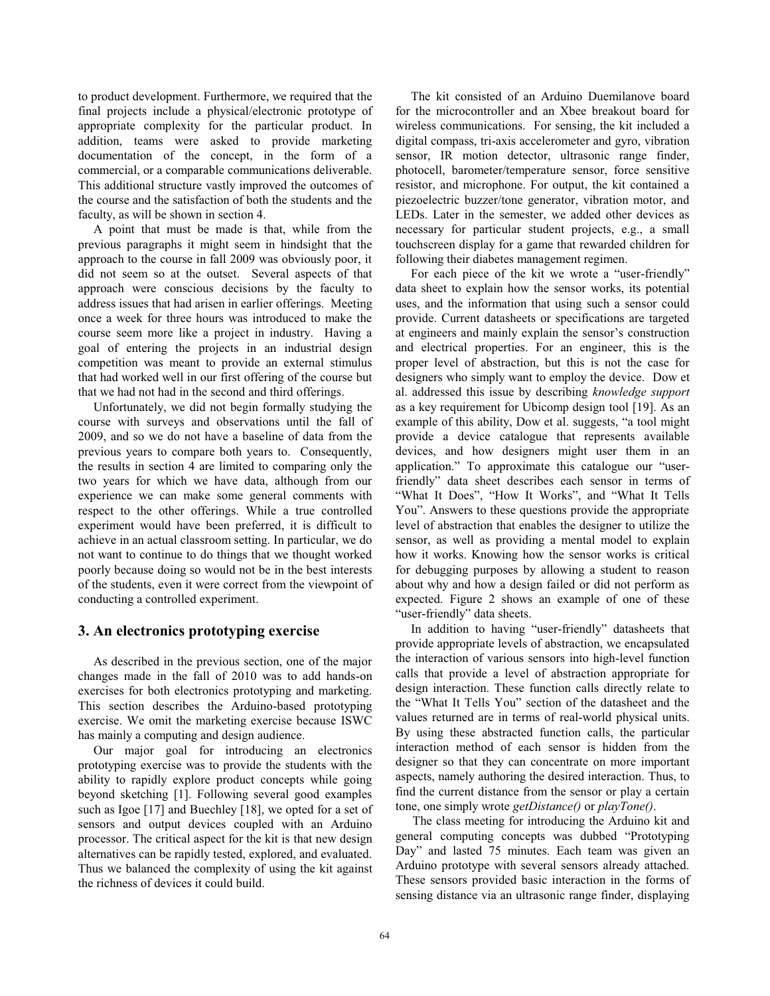to product development. Furthermore, we required that the final projects include a physical/electronic prototype of appropriate complexity for the particular product. In addition, teams were asked to provide marketing documentation of the concept, in the form of a commercial, or a comparable communications deliverable. This additional structure vastly improved the outcomes of the course and the satisfaction of both the students and the faculty, as will be shown in section 4.

A point that must be made is that, while from the previous paragraphs it might seem in hindsight that the approach to the course in fall 2009 was obviously poor, it did not seem so at the outset. Several aspects of that approach were conscious decisions by the faculty to address issues that had arisen in earlier offerings. Meeting once a week for three hours was introduced to make the course seem more like a project in industry. Having a goal of entering the projects in an industrial design competition was meant to provide an external stimulus that had worked well in our first offering of the course but that we had not had in the second and third offerings.

Unfortunately, we did not begin formally studying the course with surveys and observations until the fall of 2009, and so we do not have a baseline of data from the previous years to compare both years to. Consequently, the results in section 4 are limited to comparing only the two years for which we have data, although from our experience we can make some general comments with respect to the other offerings. While a true controlled experiment would have been preferred, it is difficult to achieve in an actual classroom setting. In particular, we do not want to continue to do things that we thought worked poorly because doing so would not be in the best interests of the students, even it were correct from the viewpoint of conducting a controlled experiment.

# **3. An electronics prototyping exercise**

As described in the previous section, one of the major changes made in the fall of 2010 was to add hands-on exercises for both electronics prototyping and marketing. This section describes the Arduino-based prototyping exercise. We omit the marketing exercise because ISWC has mainly a computing and design audience.

Our major goal for introducing an electronics prototyping exercise was to provide the students with the ability to rapidly explore product concepts while going beyond sketching [1]. Following several good examples such as Igoe [17] and Buechley [18], we opted for a set of sensors and output devices coupled with an Arduino processor. The critical aspect for the kit is that new design alternatives can be rapidly tested, explored, and evaluated. Thus we balanced the complexity of using the kit against the richness of devices it could build.

The kit consisted of an Arduino Duemilanove board for the microcontroller and an Xbee breakout board for wireless communications. For sensing, the kit included a digital compass, tri-axis accelerometer and gyro, vibration sensor, IR motion detector, ultrasonic range finder, photocell, barometer/temperature sensor, force sensitive resistor, and microphone. For output, the kit contained a piezoelectric buzzer/tone generator, vibration motor, and LEDs. Later in the semester, we added other devices as necessary for particular student projects, e.g., a small touchscreen display for a game that rewarded children for following their diabetes management regimen.

For each piece of the kit we wrote a "user-friendly" data sheet to explain how the sensor works, its potential uses, and the information that using such a sensor could provide. Current datasheets or specifications are targeted at engineers and mainly explain the sensor's construction and electrical properties. For an engineer, this is the proper level of abstraction, but this is not the case for designers who simply want to employ the device. Dow et al. addressed this issue by describing *knowledge support* as a key requirement for Ubicomp design tool [19]. As an example of this ability, Dow et al. suggests, "a tool might provide a device catalogue that represents available devices, and how designers might user them in an application." To approximate this catalogue our "userfriendly" data sheet describes each sensor in terms of "What It Does", "How It Works", and "What It Tells You". Answers to these questions provide the appropriate level of abstraction that enables the designer to utilize the sensor, as well as providing a mental model to explain how it works. Knowing how the sensor works is critical for debugging purposes by allowing a student to reason about why and how a design failed or did not perform as expected. Figure 2 shows an example of one of these "user-friendly" data sheets.

In addition to having "user-friendly" datasheets that provide appropriate levels of abstraction, we encapsulated the interaction of various sensors into high-level function calls that provide a level of abstraction appropriate for design interaction. These function calls directly relate to the "What It Tells You" section of the datasheet and the values returned are in terms of real-world physical units. By using these abstracted function calls, the particular interaction method of each sensor is hidden from the designer so that they can concentrate on more important aspects, namely authoring the desired interaction. Thus, to find the current distance from the sensor or play a certain tone, one simply wrote *getDistance()* or *playTone()*.

The class meeting for introducing the Arduino kit and general computing concepts was dubbed "Prototyping Day" and lasted 75 minutes. Each team was given an Arduino prototype with several sensors already attached. These sensors provided basic interaction in the forms of sensing distance via an ultrasonic range finder, displaying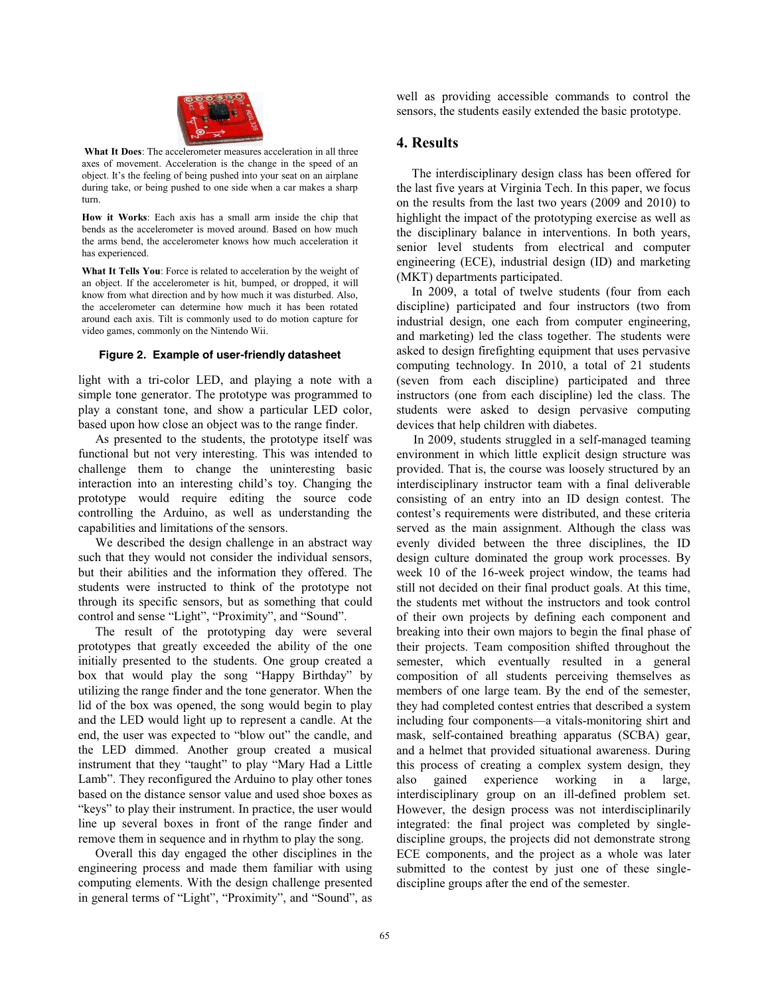

**What It Does**: The accelerometer measures acceleration in all three axes of movement. Acceleration is the change in the speed of an object. It's the feeling of being pushed into your seat on an airplane during take, or being pushed to one side when a car makes a sharp turn.

**How it Works**: Each axis has a small arm inside the chip that bends as the accelerometer is moved around. Based on how much the arms bend, the accelerometer knows how much acceleration it has experienced.

**What It Tells You**: Force is related to acceleration by the weight of an object. If the accelerometer is hit, bumped, or dropped, it will know from what direction and by how much it was disturbed. Also, the accelerometer can determine how much it has been rotated around each axis. Tilt is commonly used to do motion capture for video games, commonly on the Nintendo Wii.

#### **Figure 2. Example of user-friendly datasheet**

light with a tri-color LED, and playing a note with a simple tone generator. The prototype was programmed to play a constant tone, and show a particular LED color, based upon how close an object was to the range finder.

As presented to the students, the prototype itself was functional but not very interesting. This was intended to challenge them to change the uninteresting basic interaction into an interesting child's toy. Changing the prototype would require editing the source code controlling the Arduino, as well as understanding the capabilities and limitations of the sensors.

We described the design challenge in an abstract way such that they would not consider the individual sensors, but their abilities and the information they offered. The students were instructed to think of the prototype not through its specific sensors, but as something that could control and sense "Light", "Proximity", and "Sound".

The result of the prototyping day were several prototypes that greatly exceeded the ability of the one initially presented to the students. One group created a box that would play the song "Happy Birthday" by utilizing the range finder and the tone generator. When the lid of the box was opened, the song would begin to play and the LED would light up to represent a candle. At the end, the user was expected to "blow out" the candle, and the LED dimmed. Another group created a musical instrument that they "taught" to play "Mary Had a Little Lamb". They reconfigured the Arduino to play other tones based on the distance sensor value and used shoe boxes as "keys" to play their instrument. In practice, the user would line up several boxes in front of the range finder and remove them in sequence and in rhythm to play the song.

Overall this day engaged the other disciplines in the engineering process and made them familiar with using computing elements. With the design challenge presented in general terms of "Light", "Proximity", and "Sound", as

well as providing accessible commands to control the sensors, the students easily extended the basic prototype.

# **4. Results**

The interdisciplinary design class has been offered for the last five years at Virginia Tech. In this paper, we focus on the results from the last two years (2009 and 2010) to highlight the impact of the prototyping exercise as well as the disciplinary balance in interventions. In both years, senior level students from electrical and computer engineering (ECE), industrial design (ID) and marketing (MKT) departments participated.

In 2009, a total of twelve students (four from each discipline) participated and four instructors (two from industrial design, one each from computer engineering, and marketing) led the class together. The students were asked to design firefighting equipment that uses pervasive computing technology. In 2010, a total of 21 students (seven from each discipline) participated and three instructors (one from each discipline) led the class. The students were asked to design pervasive computing devices that help children with diabetes.

In 2009, students struggled in a self-managed teaming environment in which little explicit design structure was provided. That is, the course was loosely structured by an interdisciplinary instructor team with a final deliverable consisting of an entry into an ID design contest. The contest's requirements were distributed, and these criteria served as the main assignment. Although the class was evenly divided between the three disciplines, the ID design culture dominated the group work processes. By week 10 of the 16-week project window, the teams had still not decided on their final product goals. At this time, the students met without the instructors and took control of their own projects by defining each component and breaking into their own majors to begin the final phase of their projects. Team composition shifted throughout the semester, which eventually resulted in a general composition of all students perceiving themselves as members of one large team. By the end of the semester, they had completed contest entries that described a system including four components—a vitals-monitoring shirt and mask, self-contained breathing apparatus (SCBA) gear, and a helmet that provided situational awareness. During this process of creating a complex system design, they also gained experience working in a large, interdisciplinary group on an ill-defined problem set. However, the design process was not interdisciplinarily integrated: the final project was completed by singlediscipline groups, the projects did not demonstrate strong ECE components, and the project as a whole was later submitted to the contest by just one of these singlediscipline groups after the end of the semester.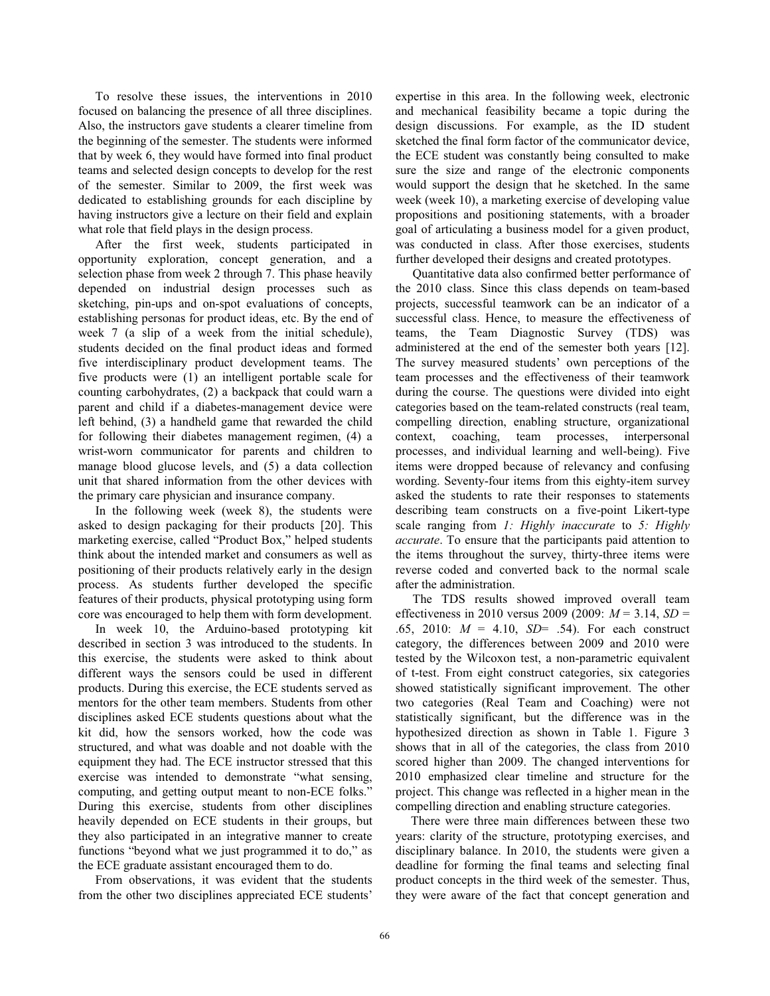To resolve these issues, the interventions in 2010 focused on balancing the presence of all three disciplines. Also, the instructors gave students a clearer timeline from the beginning of the semester. The students were informed that by week 6, they would have formed into final product teams and selected design concepts to develop for the rest of the semester. Similar to 2009, the first week was dedicated to establishing grounds for each discipline by having instructors give a lecture on their field and explain what role that field plays in the design process.

After the first week, students participated in opportunity exploration, concept generation, and a selection phase from week 2 through 7. This phase heavily depended on industrial design processes such as sketching, pin-ups and on-spot evaluations of concepts, establishing personas for product ideas, etc. By the end of week 7 (a slip of a week from the initial schedule), students decided on the final product ideas and formed five interdisciplinary product development teams. The five products were (1) an intelligent portable scale for counting carbohydrates, (2) a backpack that could warn a parent and child if a diabetes-management device were left behind, (3) a handheld game that rewarded the child for following their diabetes management regimen, (4) a wrist-worn communicator for parents and children to manage blood glucose levels, and (5) a data collection unit that shared information from the other devices with the primary care physician and insurance company.

In the following week (week 8), the students were asked to design packaging for their products [20]. This marketing exercise, called "Product Box," helped students think about the intended market and consumers as well as positioning of their products relatively early in the design process. As students further developed the specific features of their products, physical prototyping using form core was encouraged to help them with form development.

In week 10, the Arduino-based prototyping kit described in section 3 was introduced to the students. In this exercise, the students were asked to think about different ways the sensors could be used in different products. During this exercise, the ECE students served as mentors for the other team members. Students from other disciplines asked ECE students questions about what the kit did, how the sensors worked, how the code was structured, and what was doable and not doable with the equipment they had. The ECE instructor stressed that this exercise was intended to demonstrate "what sensing, computing, and getting output meant to non-ECE folks." During this exercise, students from other disciplines heavily depended on ECE students in their groups, but they also participated in an integrative manner to create functions "beyond what we just programmed it to do," as the ECE graduate assistant encouraged them to do.

From observations, it was evident that the students from the other two disciplines appreciated ECE students'

expertise in this area. In the following week, electronic and mechanical feasibility became a topic during the design discussions. For example, as the ID student sketched the final form factor of the communicator device, the ECE student was constantly being consulted to make sure the size and range of the electronic components would support the design that he sketched. In the same week (week 10), a marketing exercise of developing value propositions and positioning statements, with a broader goal of articulating a business model for a given product, was conducted in class. After those exercises, students further developed their designs and created prototypes.

Quantitative data also confirmed better performance of the 2010 class. Since this class depends on team-based projects, successful teamwork can be an indicator of a successful class. Hence, to measure the effectiveness of teams, the Team Diagnostic Survey (TDS) was administered at the end of the semester both years [12]. The survey measured students' own perceptions of the team processes and the effectiveness of their teamwork during the course. The questions were divided into eight categories based on the team-related constructs (real team, compelling direction, enabling structure, organizational context, coaching, team processes, interpersonal processes, and individual learning and well-being). Five items were dropped because of relevancy and confusing wording. Seventy-four items from this eighty-item survey asked the students to rate their responses to statements describing team constructs on a five-point Likert-type scale ranging from *1: Highly inaccurate* to *5: Highly accurate*. To ensure that the participants paid attention to the items throughout the survey, thirty-three items were reverse coded and converted back to the normal scale after the administration.

The TDS results showed improved overall team effectiveness in 2010 versus 2009 (2009: *M* = 3.14, *SD* = .65, 2010: *M* = 4.10, *SD*= .54). For each construct category, the differences between 2009 and 2010 were tested by the Wilcoxon test, a non-parametric equivalent of t-test. From eight construct categories, six categories showed statistically significant improvement. The other two categories (Real Team and Coaching) were not statistically significant, but the difference was in the hypothesized direction as shown in Table 1. Figure 3 shows that in all of the categories, the class from 2010 scored higher than 2009. The changed interventions for 2010 emphasized clear timeline and structure for the project. This change was reflected in a higher mean in the compelling direction and enabling structure categories.

There were three main differences between these two years: clarity of the structure, prototyping exercises, and disciplinary balance. In 2010, the students were given a deadline for forming the final teams and selecting final product concepts in the third week of the semester. Thus, they were aware of the fact that concept generation and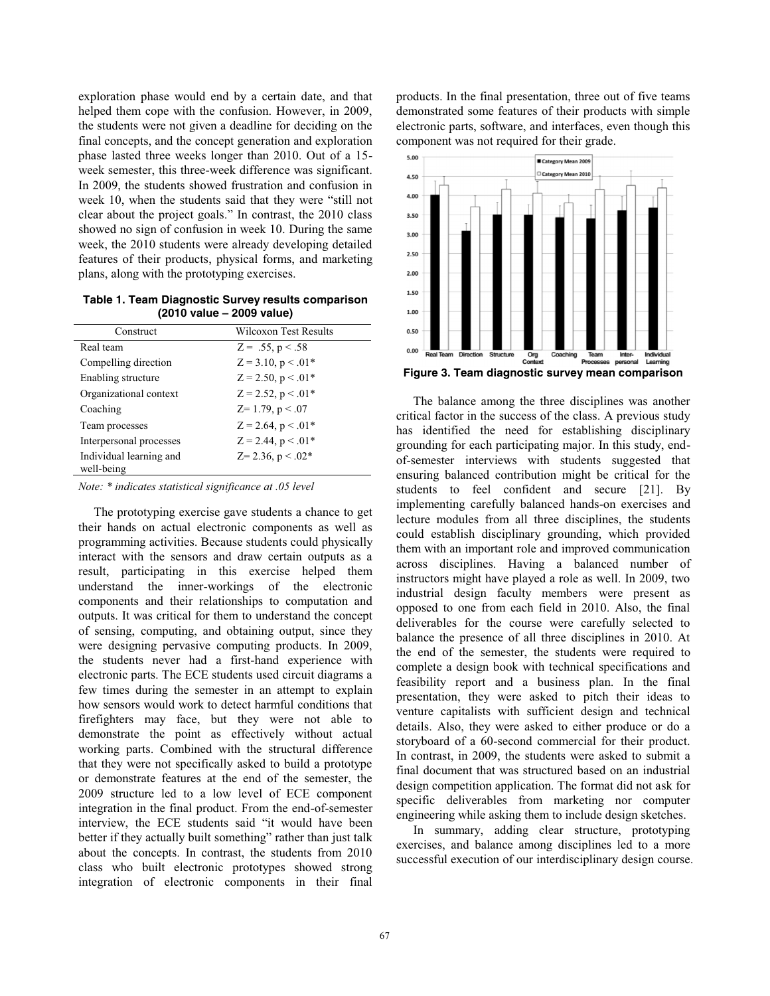exploration phase would end by a certain date, and that helped them cope with the confusion. However, in 2009, the students were not given a deadline for deciding on the final concepts, and the concept generation and exploration phase lasted three weeks longer than 2010. Out of a 15 week semester, this three-week difference was significant. In 2009, the students showed frustration and confusion in week 10, when the students said that they were "still not clear about the project goals." In contrast, the 2010 class showed no sign of confusion in week 10. During the same week, the 2010 students were already developing detailed features of their products, physical forms, and marketing plans, along with the prototyping exercises.

**Table 1. Team Diagnostic Survey results comparison (2010 value – 2009 value)** 

| Construct                             | <b>Wilcoxon Test Results</b> |
|---------------------------------------|------------------------------|
| Real team                             | $Z = .55, p < .58$           |
| Compelling direction                  | $Z = 3.10$ , $p < .01*$      |
| Enabling structure                    | $Z = 2.50$ , $p < .01*$      |
| Organizational context                | $Z = 2.52$ , $p < .01*$      |
| Coaching                              | $Z = 1.79$ , $p < .07$       |
| Team processes                        | $Z = 2.64$ , $p < .01*$      |
| Interpersonal processes               | $Z = 2.44$ , $p < .01*$      |
| Individual learning and<br>well-being | $Z = 2.36$ , $p < .02*$      |

*Note: \* indicates statistical significance at .05 level* 

The prototyping exercise gave students a chance to get their hands on actual electronic components as well as programming activities. Because students could physically interact with the sensors and draw certain outputs as a result, participating in this exercise helped them understand the inner-workings of the electronic components and their relationships to computation and outputs. It was critical for them to understand the concept of sensing, computing, and obtaining output, since they were designing pervasive computing products. In 2009, the students never had a first-hand experience with electronic parts. The ECE students used circuit diagrams a few times during the semester in an attempt to explain how sensors would work to detect harmful conditions that firefighters may face, but they were not able to demonstrate the point as effectively without actual working parts. Combined with the structural difference that they were not specifically asked to build a prototype or demonstrate features at the end of the semester, the 2009 structure led to a low level of ECE component integration in the final product. From the end-of-semester interview, the ECE students said "it would have been better if they actually built something" rather than just talk about the concepts. In contrast, the students from 2010 class who built electronic prototypes showed strong integration of electronic components in their final products. In the final presentation, three out of five teams demonstrated some features of their products with simple electronic parts, software, and interfaces, even though this component was not required for their grade.



The balance among the three disciplines was another critical factor in the success of the class. A previous study has identified the need for establishing disciplinary grounding for each participating major. In this study, endof-semester interviews with students suggested that ensuring balanced contribution might be critical for the students to feel confident and secure [21]. By implementing carefully balanced hands-on exercises and lecture modules from all three disciplines, the students could establish disciplinary grounding, which provided them with an important role and improved communication across disciplines. Having a balanced number of instructors might have played a role as well. In 2009, two industrial design faculty members were present as opposed to one from each field in 2010. Also, the final deliverables for the course were carefully selected to balance the presence of all three disciplines in 2010. At the end of the semester, the students were required to complete a design book with technical specifications and feasibility report and a business plan. In the final presentation, they were asked to pitch their ideas to venture capitalists with sufficient design and technical details. Also, they were asked to either produce or do a storyboard of a 60-second commercial for their product. In contrast, in 2009, the students were asked to submit a final document that was structured based on an industrial design competition application. The format did not ask for specific deliverables from marketing nor computer engineering while asking them to include design sketches.

In summary, adding clear structure, prototyping exercises, and balance among disciplines led to a more successful execution of our interdisciplinary design course.